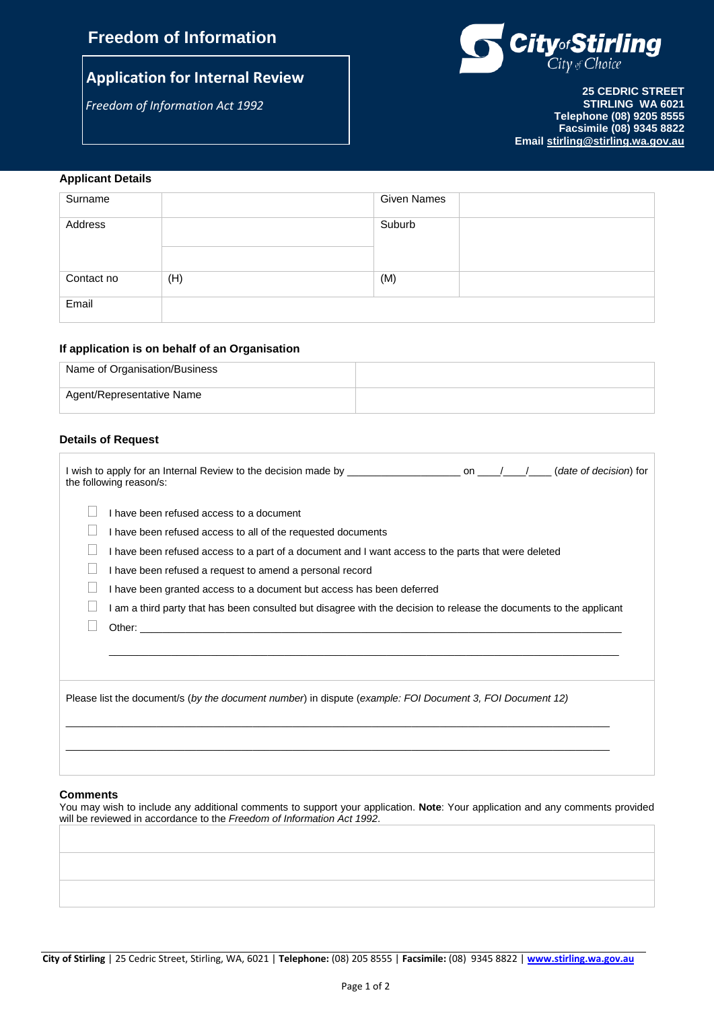# **Freedom of Information**

# **Application for Internal Review**

*Freedom of Information Act 1992*



**25 CEDRIC STREET STIRLING WA 6021 Telephone (08) 9205 8555 Facsimile (08) 9345 8822 Email [stirling@stirling.wa.gov.au](mailto:stirling@stirling.wa.gov.au)**

# **Applicant Details**

| Surname    |     | Given Names |  |
|------------|-----|-------------|--|
|            |     |             |  |
|            |     |             |  |
| Address    |     | Suburb      |  |
|            |     |             |  |
|            |     |             |  |
|            |     |             |  |
|            |     |             |  |
|            |     |             |  |
| Contact no | (H) | (M)         |  |
|            |     |             |  |
|            |     |             |  |
| Email      |     |             |  |
|            |     |             |  |
|            |     |             |  |

## **If application is on behalf of an Organisation**

| Name of Organisation/Business |  |
|-------------------------------|--|
| Agent/Representative Name     |  |

## **Details of Request**

| the following reason/s:                                                                                                                                                                                                                                                                                                                                                                                                                                                   |  |  |
|---------------------------------------------------------------------------------------------------------------------------------------------------------------------------------------------------------------------------------------------------------------------------------------------------------------------------------------------------------------------------------------------------------------------------------------------------------------------------|--|--|
| I have been refused access to a document<br>I have been refused access to all of the requested documents<br>I have been refused access to a part of a document and I want access to the parts that were deleted<br>I have been refused a request to amend a personal record<br>I have been granted access to a document but access has been deferred<br>am a third party that has been consulted but disagree with the decision to release the documents to the applicant |  |  |
| Please list the document/s (by the document number) in dispute (example: FOI Document 3, FOI Document 12)                                                                                                                                                                                                                                                                                                                                                                 |  |  |

#### **Comments**

You may wish to include any additional comments to support your application. **Note**: Your application and any comments provided will be reviewed in accordance to the *Freedom of Information Act 1992*.